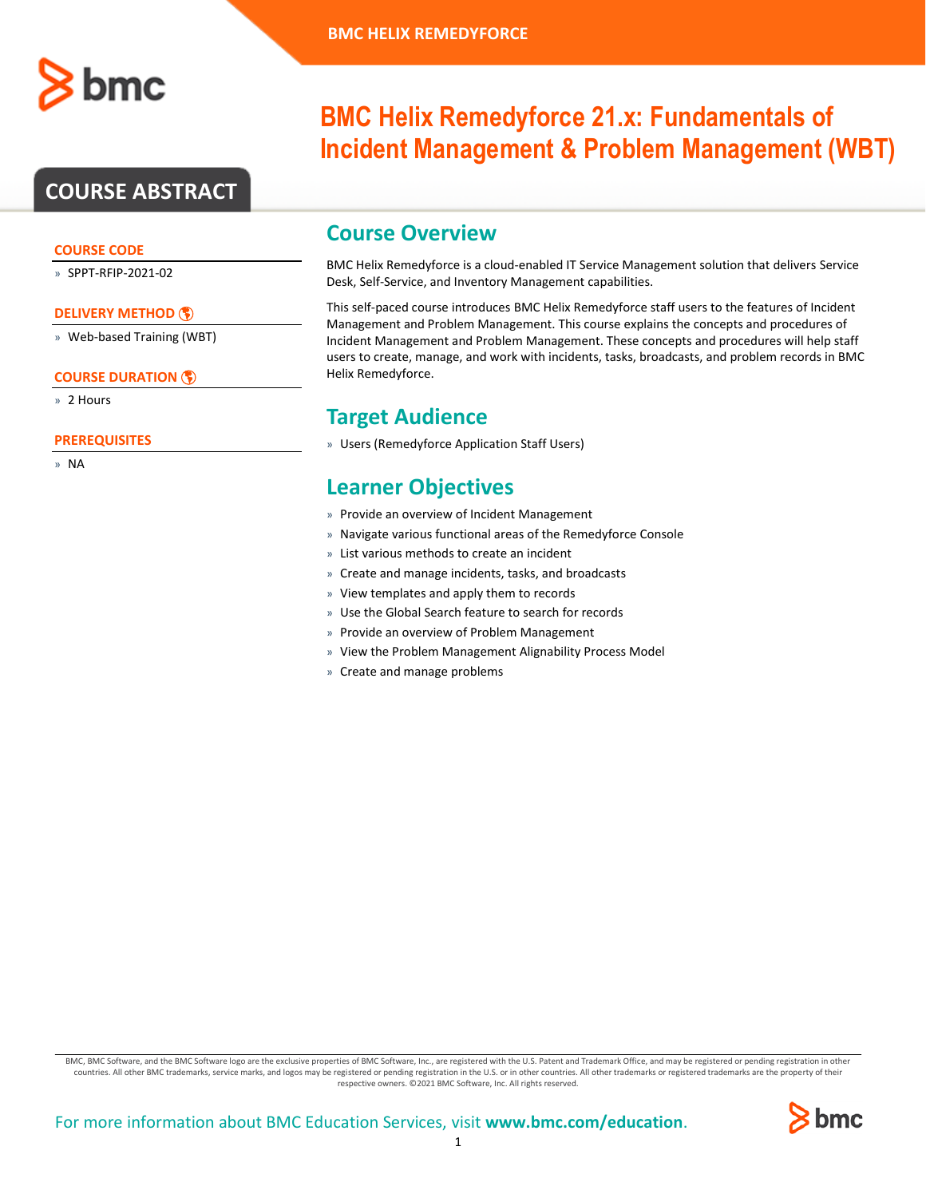

# **COURSE ABSTRACT**

### **COURSE CODE**

» SPPT-RFIP-2021-02

### **[DELIVERY METHOD](http://www.bmc.com/education/modality.html)**

» Web-based Training (WBT)

### **[COURSE DURATION](http://www.bmc.com/education/learning-paths/education-filters-learning-paths.html)**

» 2 Hours

### **PREREQUISITES**

» NA

# **BMC Helix Remedyforce 21.x: Fundamentals of Incident Management & Problem Management (WBT)**

### **Course Overview**

BMC Helix Remedyforce is a cloud-enabled IT Service Management solution that delivers Service Desk, Self-Service, and Inventory Management capabilities.

This self-paced course introduces BMC Helix Remedyforce staff users to the features of Incident Management and Problem Management. This course explains the concepts and procedures of Incident Management and Problem Management. These concepts and procedures will help staff users to create, manage, and work with incidents, tasks, broadcasts, and problem records in BMC Helix Remedyforce.

### **Target Audience**

» Users (Remedyforce Application Staff Users)

## **Learner Objectives**

- » Provide an overview of Incident Management
- » Navigate various functional areas of the Remedyforce Console
- » List various methods to create an incident
- » Create and manage incidents, tasks, and broadcasts
- » View templates and apply them to records
- » Use the Global Search feature to search for records
- » Provide an overview of Problem Management
- » View the Problem Management Alignability Process Model
- » Create and manage problems

BMC, BMC Software, and the BMC Software logo are the exclusive properties of BMC Software, Inc., are registered with the U.S. Patent and Trademark Office, and may be registered or pending registration in other countries. All other BMC trademarks, service marks, and logos may be registered or pending registration in the U.S. or in other countries. All other trademarks or registered trademarks are the property of their respective owners. ©2021 BMC Software, Inc. All rights reserved.